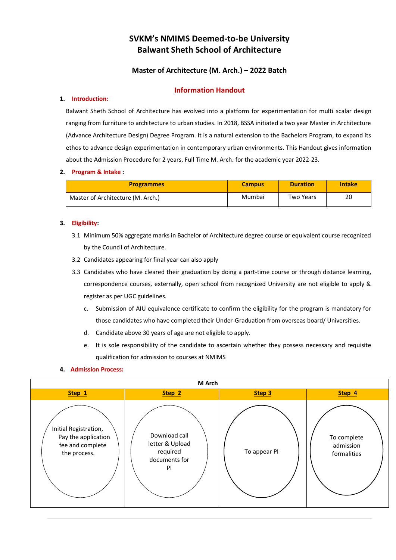# **SVKM's NMIMS Deemed-to-be University Balwant Sheth School of Architecture**

# **Master of Architecture (M. Arch.) – 2022 Batch**

# **Information Handout**

#### **1. Introduction:**

Balwant Sheth School of Architecture has evolved into a platform for experimentation for multi scalar design ranging from furniture to architecture to urban studies. In 2018, BSSA initiated a two year Master in Architecture (Advance Architecture Design) Degree Program. It is a natural extension to the Bachelors Program, to expand its ethos to advance design experimentation in contemporary urban environments. This Handout gives information about the Admission Procedure for 2 years, Full Time M. Arch. for the academic year 2022-23.

#### **2. Program & Intake :**

| <b>Programmes</b>                 | <b>Campus</b> | <b>Duration</b>  | <b>Intake</b> |
|-----------------------------------|---------------|------------------|---------------|
| Master of Architecture (M. Arch.) | Mumbai        | <b>Two Years</b> | 20            |

#### **3. Eligibility:**

- 3.1 Minimum 50% aggregate marks in Bachelor of Architecture degree course or equivalent course recognized by the Council of Architecture.
- 3.2 Candidates appearing for final year can also apply
- 3.3 Candidates who have cleared their graduation by doing a part-time course or through distance learning, correspondence courses, externally, open school from recognized University are not eligible to apply & register as per UGC guidelines.
	- c. Submission of AIU equivalence certificate to confirm the eligibility for the program is mandatory for those candidates who have completed their Under-Graduation from overseas board/ Universities.
	- d. Candidate above 30 years of age are not eligible to apply.
	- e. It is sole responsibility of the candidate to ascertain whether they possess necessary and requisite qualification for admission to courses at NMIMS

# **4. Admission Process:**

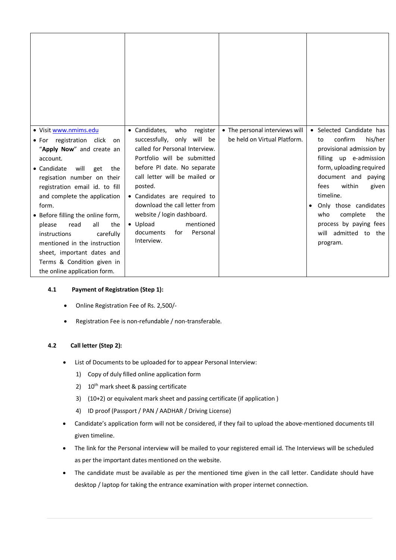| · Visit www.nmims.edu<br>• For registration click<br>on<br>"Apply Now" and create an<br>account.<br>will<br>• Candidate<br>get<br>the<br>regisation number on their<br>registration email id. to fill<br>and complete the application<br>form.<br>• Before filling the online form,<br>all<br>the<br>please<br>read<br>instructions<br>carefully<br>mentioned in the instruction<br>sheet, important dates and<br>Terms & Condition given in<br>the online application form. | • Candidates,<br>who<br>register<br>successfully, only will be<br>called for Personal Interview.<br>Portfolio will be submitted<br>before PI date. No separate<br>call letter will be mailed or<br>posted.<br>• Candidates are required to<br>download the call letter from<br>website / login dashboard.<br>• Upload<br>mentioned<br>documents<br>for<br>Personal<br>Interview. | • The personal interviews will<br>be held on Virtual Platform. | • Selected Candidate has<br>confirm<br>his/her<br>to<br>provisional admission by<br>filling up e-admission<br>form, uploading required<br>document and paying<br>within<br>fees<br>given<br>timeline.<br>Only those candidates<br>٠<br>complete<br>the<br>who<br>process by paying fees<br>will admitted to the<br>program. |
|------------------------------------------------------------------------------------------------------------------------------------------------------------------------------------------------------------------------------------------------------------------------------------------------------------------------------------------------------------------------------------------------------------------------------------------------------------------------------|----------------------------------------------------------------------------------------------------------------------------------------------------------------------------------------------------------------------------------------------------------------------------------------------------------------------------------------------------------------------------------|----------------------------------------------------------------|-----------------------------------------------------------------------------------------------------------------------------------------------------------------------------------------------------------------------------------------------------------------------------------------------------------------------------|

# **4.1 Payment of Registration (Step 1):**

- Online Registration Fee of Rs. 2,500/-
- Registration Fee is non-refundable / non-transferable.

# **4.2 Call letter (Step 2):**

- List of Documents to be uploaded for to appear Personal Interview:
	- 1) Copy of duly filled online application form
	- 2)  $10^{th}$  mark sheet & passing certificate
	- 3) (10+2) or equivalent mark sheet and passing certificate (if application )
	- 4) ID proof (Passport / PAN / AADHAR / Driving License)
- Candidate's application form will not be considered, if they fail to upload the above-mentioned documents till given timeline.
- The link for the Personal interview will be mailed to your registered email id. The Interviews will be scheduled as per the important dates mentioned on the website.
- The candidate must be available as per the mentioned time given in the call letter. Candidate should have desktop / laptop for taking the entrance examination with proper internet connection.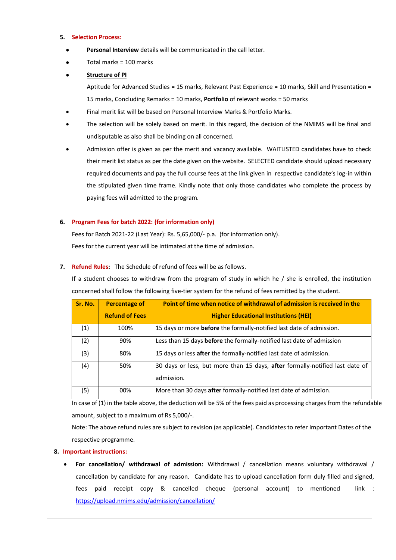#### **5. Selection Process:**

- **Personal Interview** details will be communicated in the call letter.
- Total marks = 100 marks

# **Structure of PI**

Aptitude for Advanced Studies = 15 marks, Relevant Past Experience = 10 marks, Skill and Presentation = 15 marks, Concluding Remarks = 10 marks, **Portfolio** of relevant works = 50 marks

- Final merit list will be based on Personal Interview Marks & Portfolio Marks.
- The selection will be solely based on merit. In this regard, the decision of the NMIMS will be final and undisputable as also shall be binding on all concerned.
- Admission offer is given as per the merit and vacancy available. WAITLISTED candidates have to check their merit list status as per the date given on the website. SELECTED candidate should upload necessary required documents and pay the full course fees at the link given in respective candidate's log-in within the stipulated given time frame. Kindly note that only those candidates who complete the process by paying fees will admitted to the program.

### **6. Program Fees for batch 2022: (for information only)**

Fees for Batch 2021-22 (Last Year): Rs. 5,65,000/- p.a. (for information only). Fees for the current year will be intimated at the time of admission.

#### **7. Refund Rules:** The Schedule of refund of fees will be as follows.

If a student chooses to withdraw from the program of study in which he / she is enrolled, the institution concerned shall follow the following five-tier system for the refund of fees remitted by the student.

| Sr. No. | <b>Percentage of</b>  | Point of time when notice of withdrawal of admission is received in the                    |  |
|---------|-----------------------|--------------------------------------------------------------------------------------------|--|
|         | <b>Refund of Fees</b> | <b>Higher Educational Institutions (HEI)</b>                                               |  |
| (1)     | 100%                  | 15 days or more <b>before</b> the formally-notified last date of admission.                |  |
| (2)     | 90%                   | Less than 15 days <b>before</b> the formally-notified last date of admission               |  |
| (3)     | 80%                   | 15 days or less after the formally-notified last date of admission.                        |  |
| (4)     | 50%                   | 30 days or less, but more than 15 days, after formally-notified last date of<br>admission. |  |
| (5)     | 00%                   | More than 30 days after formally-notified last date of admission.                          |  |

In case of (1) in the table above, the deduction will be 5% of the fees paid as processing charges from the refundable amount, subject to a maximum of Rs 5,000/-.

Note: The above refund rules are subject to revision (as applicable). Candidates to refer Important Dates of the respective programme.

#### **8. Important instructions:**

 **For cancellation/ withdrawal of admission:** Withdrawal / cancellation means voluntary withdrawal / cancellation by candidate for any reason. Candidate has to upload cancellation form duly filled and signed, fees paid receipt copy & cancelled cheque (personal account) to mentioned link : <https://upload.nmims.edu/admission/cancellation/>